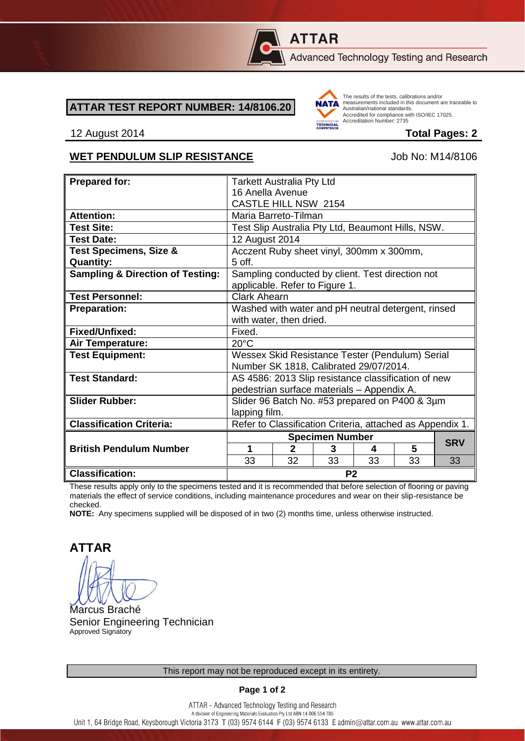

# **ATTAR**

Advanced Technology Testing and Research

#### **ATTAR TEST REPORT NUMBER: 14/8106.20**



The results of the tests, calibrations and/or measurements included in this document are traceable to Australian/national standards. Adstrational Miditional Standards:<br>Accredited for compliance with ISO/IEC 17025. Accreditation Number: 2735

#### 12 August 2014 **Total Pages: 2**

#### WET PENDULUM SLIP RESISTANCE Job No: M14/8106

| <b>Prepared for:</b>                        | <b>Tarkett Australia Pty Ltd</b>                                                   |              |    |    |            |    |
|---------------------------------------------|------------------------------------------------------------------------------------|--------------|----|----|------------|----|
|                                             | 16 Anella Avenue                                                                   |              |    |    |            |    |
|                                             | <b>CASTLE HILL NSW 2154</b>                                                        |              |    |    |            |    |
| <b>Attention:</b>                           | Maria Barreto-Tilman                                                               |              |    |    |            |    |
| <b>Test Site:</b>                           | Test Slip Australia Pty Ltd, Beaumont Hills, NSW.                                  |              |    |    |            |    |
| <b>Test Date:</b>                           | 12 August 2014                                                                     |              |    |    |            |    |
|                                             |                                                                                    |              |    |    |            |    |
| <b>Test Specimens, Size &amp;</b>           | Acczent Ruby sheet vinyl, 300mm x 300mm,                                           |              |    |    |            |    |
| <b>Quantity:</b>                            | $5$ off.                                                                           |              |    |    |            |    |
| <b>Sampling &amp; Direction of Testing:</b> | Sampling conducted by client. Test direction not<br>applicable. Refer to Figure 1. |              |    |    |            |    |
| <b>Test Personnel:</b>                      | <b>Clark Ahearn</b>                                                                |              |    |    |            |    |
| <b>Preparation:</b>                         | Washed with water and pH neutral detergent, rinsed                                 |              |    |    |            |    |
|                                             | with water, then dried.                                                            |              |    |    |            |    |
| Fixed/Unfixed:                              | Fixed.                                                                             |              |    |    |            |    |
| Air Temperature:                            | $20^{\circ}$ C                                                                     |              |    |    |            |    |
| <b>Test Equipment:</b>                      | Wessex Skid Resistance Tester (Pendulum) Serial                                    |              |    |    |            |    |
|                                             | Number SK 1818, Calibrated 29/07/2014.                                             |              |    |    |            |    |
| <b>Test Standard:</b>                       | AS 4586: 2013 Slip resistance classification of new                                |              |    |    |            |    |
|                                             | pedestrian surface materials - Appendix A.                                         |              |    |    |            |    |
| <b>Slider Rubber:</b>                       | Slider 96 Batch No. #53 prepared on P400 & 3µm                                     |              |    |    |            |    |
|                                             | lapping film.                                                                      |              |    |    |            |    |
| <b>Classification Criteria:</b>             |                                                                                    |              |    |    |            |    |
|                                             | Refer to Classification Criteria, attached as Appendix 1.                          |              |    |    |            |    |
|                                             | <b>Specimen Number</b>                                                             |              |    |    | <b>SRV</b> |    |
| <b>British Pendulum Number</b>              | 1                                                                                  | $\mathbf{2}$ | 3  | 4  | 5          |    |
|                                             | 33                                                                                 | 32           | 33 | 33 | 33         | 33 |
| <b>Classification:</b>                      | P <sub>2</sub>                                                                     |              |    |    |            |    |

These results apply only to the specimens tested and it is recommended that before selection of flooring or paving materials the effect of service conditions, including maintenance procedures and wear on their slip-resistance be checked.

**NOTE:** Any specimens supplied will be disposed of in two (2) months time, unless otherwise instructed.

**ATTAR**

Marcus Braché Senior Engineering Technician Approved Signatory

**Page 1 of 2**